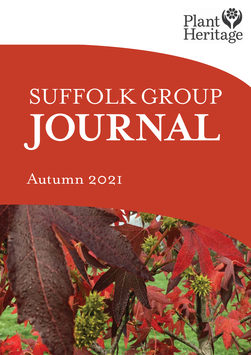

# **JOURNAL** TOTTD NTAT

Autumn 2021

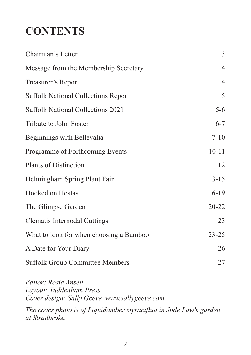## **CONTENTS**

| Chairman's Letter                          | 3              |
|--------------------------------------------|----------------|
| Message from the Membership Secretary      | $\overline{4}$ |
| Treasurer's Report                         | $\overline{4}$ |
| <b>Suffolk National Collections Report</b> | 5              |
| <b>Suffolk National Collections 2021</b>   | $5 - 6$        |
| Tribute to John Foster                     | $6 - 7$        |
| Beginnings with Bellevalia                 | $7 - 10$       |
| Programme of Forthcoming Events            | $10 - 11$      |
| <b>Plants of Distinction</b>               | 12             |
| Helmingham Spring Plant Fair               | $13 - 15$      |
| <b>Hooked on Hostas</b>                    | $16-19$        |
| The Glimpse Garden                         | $20 - 22$      |
| <b>Clematis Internodal Cuttings</b>        | 23             |
| What to look for when choosing a Bamboo    | $23 - 25$      |
| A Date for Your Diary                      | 26             |
| <b>Suffolk Group Committee Members</b>     | 27             |

*Editor: Rosie Ansell Layout: Tuddenham Press Cover design: Sally Geeve. www.sallygeeve.com The cover photo is of Liquidamber styraciflua in Jude Law's garden at Stradbroke.*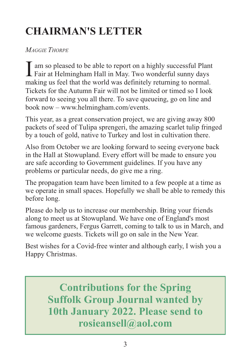## **CHAIRMAN'S LETTER**

## **MAGGIE THORPE**

I am so pleased to be able to report on a highly successful Plant<br>Fair at Helmingham Hall in May. Two wonderful sunny days making us feel that the world was definitely returning to normal. Tickets for the Autumn Fair will not be limited or timed so I look forward to seeing you all there. To save queueing, go on line and book now – www.helmingham.com/events.

This year, as a great conservation project, we are giving away 800 packets of seed of Tulipa sprengeri, the amazing scarlet tulip fringed by a touch of gold, native to Turkey and lost in cultivation there.

Also from October we are looking forward to seeing everyone back in the Hall at Stowupland. Every effort will be made to ensure you are safe according to Government guidelines. If you have any problems or particular needs, do give me a ring.

The propagation team have been limited to a few people at a time as we operate in small spaces. Hopefully we shall be able to remedy this before long.

Please do help us to increase our membership. Bring your friends along to meet us at Stowupland. We have one of England's most famous gardeners, Fergus Garrett, coming to talk to us in March, and we welcome guests. Tickets will go on sale in the New Year.

Best wishes for a Covid-free winter and although early, I wish you a Happy Christmas.

> **Contributions for the Spring Suffolk Group Journal wanted by 10th January 2022. Please send to rosieansell@aol.com**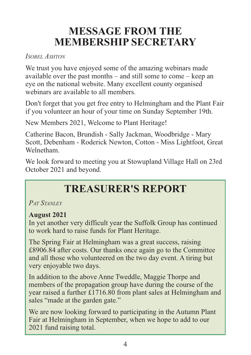## **MESSAGE FROM THE MEMBERSHIP SECRETARY**

#### *I A SOBEL SHTON*

We trust you have enjoyed some of the amazing webinars made available over the past months – and still some to come – keep an eye on the national website. Many excellent county organised webinars are available to all members.

Don't forget that you get free entry to Helmingham and the Plant Fair if you volunteer an hour of your time on Sunday September 19th.

New Members 2021, Welcome to Plant Heritage!

Catherine Bacon, Brundish - Sally Jackman, Woodbridge - Mary Scott, Debenham - Roderick Newton, Cotton - Miss Lightfoot, Great Welnetham.

We look forward to meeting you at Stowupland Village Hall on 23rd October 2021 and beyond.

## **TREASURER'S REPORT**

#### *PAT STANLEY*

#### **August 2021**

In yet another very difficult year the Suffolk Group has continued to work hard to raise funds for Plant Heritage.

The Spring Fair at Helmingham was a great success, raising £8906.84 after costs. Our thanks once again go to the Committee and all those who volunteered on the two day event. A tiring but very enjoyable two days.

In addition to the above Anne Tweddle, Maggie Thorpe and members of the propagation group have during the course of the year raised a further £1716.80 from plant sales at Helmingham and sales "made at the garden gate."

We are now looking forward to participating in the Autumn Plant Fair at Helmingham in September, when we hope to add to our 2021 fund raising total.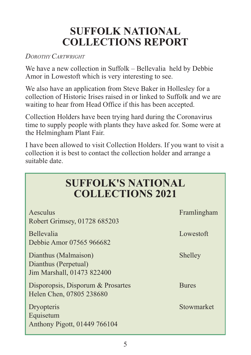## **SUFFOLK NATIONAL COLLECTIONS REPORT**

#### **DOROTHY CARTWRIGHT**

We have a new collection in Suffolk – Bellevalia held by Debbie Amor in Lowestoft which is very interesting to see.

We also have an application from Steve Baker in Hollesley for a collection of Historic Irises raised in or linked to Suffolk and we are waiting to hear from Head Office if this has been accepted.

Collection Holders have been trying hard during the Coronavirus time to supply people with plants they have asked for. Some were at the Helmingham Plant Fair.

I have been allowed to visit Collection Holders. If you want to visit a collection it is best to contact the collection holder and arrange a suitable date.

## **SUFFOLK'S NATIONAL COLLECTIONS 2021**

| Aesculus<br>Robert Grimsey, 01728 685203                                   | Framlingham  |
|----------------------------------------------------------------------------|--------------|
| <b>Bellevalia</b><br>Debbie Amor 07565 966682                              | Lowestoft    |
| Dianthus (Malmaison)<br>Dianthus (Perpetual)<br>Jim Marshall, 01473 822400 | Shelley      |
| Disporopsis, Disporum & Prosartes<br>Helen Chen, 07805 238680              | <b>Bures</b> |
| Dryopteris<br>Equisetum<br>Anthony Pigott, 01449 766104                    | Stowmarket   |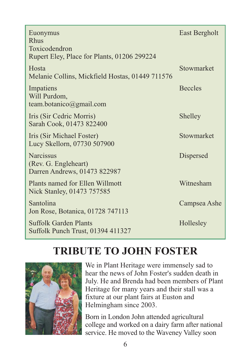| Euonymus<br><b>Rhus</b><br>Toxicodendron<br>Rupert Eley, Place for Plants, 01206 299224 | East Bergholt  |
|-----------------------------------------------------------------------------------------|----------------|
| Hosta<br>Melanie Collins, Mickfield Hostas, 01449 711576                                | Stowmarket     |
| Impatiens<br>Will Purdom,<br>team.botanico@gmail.com                                    | <b>Beccles</b> |
| Iris (Sir Cedric Morris)<br>Sarah Cook, 01473 822400                                    | Shelley        |
| Iris (Sir Michael Foster)<br>Lucy Skellorn, 07730 507900                                | Stowmarket     |
| <b>Narcissus</b><br>(Rev. G. Engleheart)<br>Darren Andrews, 01473 822987                | Dispersed      |
| Plants named for Ellen Willmott<br>Nick Stanley, 01473 757585                           | Witnesham      |
| Santolina<br>Jon Rose, Botanica, 01728 747113                                           | Campsea Ashe   |
| <b>Suffolk Garden Plants</b><br>Suffolk Punch Trust, 01394 411327                       | Hollesley      |

## **TRIBUTE TO JOHN FOSTER**



We in Plant Heritage were immensely sad to hear the news of John Foster's sudden death in July. He and Brenda had been members of Plant Heritage for many years and their stall was a fixture at our plant fairs at Euston and Helmingham since 2003.

Born in London John attended agricultural college and worked on a dairy farm after national service. He moved to the Waveney Valley soon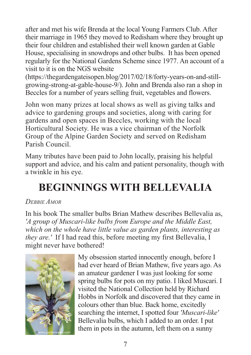after and met his wife Brenda at the local Young Farmers Club. After their marriage in 1965 they moved to Redisham where they brought up their four children and established their well known garden at Gable House, specialising in snowdrops and other bulbs. It has been opened regularly for the National Gardens Scheme since 1977. An account of a visit to it is on the NGS website

(https://thegardengateisopen.blog/2017/02/18/forty-years-on-and-stillgrowing-strong-at-gable-house-9/). John and Brenda also ran a shop in Beccles for a number of years selling fruit, vegetables and flowers.

John won many prizes at local shows as well as giving talks and advice to gardening groups and societies, along with caring for gardens and open spaces in Beccles, working with the local Horticultural Society. He was a vice chairman of the Norfolk Group of the Alpine Garden Society and served on Redisham Parish Council.

Many tributes have been paid to John locally, praising his helpful support and advice, and his calm and patient personality, though with a twinkle in his eye.

## **BEGINNINGS WITH BELLEVALIA**

## $D$ *EBBIE AMOR*

*'A group of Muscari-like bulbs from Europe and the Middle East, which on the whole have little value as garden plants, interesting as they are.'* If I had read this, before meeting my first Bellevalia, I In his book The smaller bulbs Brian Mathew describes Bellevalia as, might never have bothered!



*'Muscari-like'* searching the internet, I spotted four My obsession started innocently enough, before I had ever heard of Brian Mathew, five years ago. As an amateur gardener I was just looking for some spring bulbs for pots on my patio. I liked Muscari. I visited the National Collection held by Richard Hobbs in Norfolk and discovered that they came in colours other than blue. Back home, excitedly Bellevalia bulbs, which I added to an order. I put them in pots in the autumn, left them on a sunny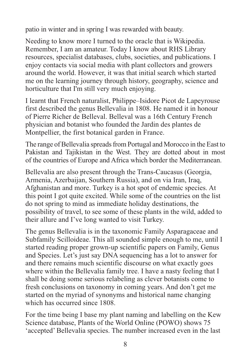patio in winter and in spring I was rewarded with beauty.

Needing to know more I turned to the oracle that is Wikipedia. Remember, I am an amateur. Today I know about RHS Library resources, specialist databases, clubs, societies, and publications. I enjoy contacts via social media with plant collectors and growers around the world. However, it was that initial search which started me on the learning journey through history, geography, science and horticulture that I'm still very much enjoying.

I learnt that French naturalist, Philippe–Isidore Picot de Lapeyrouse first described the genus Bellevalia in 1808. He named it in honour of Pierre Richer de Belleval. Belleval was a 16th Century French physician and botanist who founded the Jardin des plantes de Montpellier, the first botanical garden in France.

The range of Bellevalia spreads from Portugal and Morocco in the East to Pakistan and Tajikistan in the West. They are dotted about in most of the countries of Europe and Africa which border the Mediterranean.

Bellevalia are also present through the Trans-Caucasus (Georgia, Armenia, Azerbaijan, Southern Russia), and on via Iran, Iraq, Afghanistan and more. Turkey is a hot spot of endemic species. At this point I got quite excited. While some of the countries on the list do not spring to mind as immediate holiday destinations, the possibility of travel, to see some of these plants in the wild, added to their allure and I've long wanted to visit Turkey.

The genus Bellevalia is in the taxonomic Family Asparagaceae and Subfamily Scilloideae. This all sounded simple enough to me, until I started reading proper grown-up scientific papers on Family, Genus and Species. Let's just say DNA sequencing has a lot to answer for and there remains much scientific discourse on what exactly goes where within the Bellevalia family tree. I have a nasty feeling that I shall be doing some serious relabeling as clever botanists come to fresh conclusions on taxonomy in coming years. And don't get me started on the myriad of synonyms and historical name changing which has occurred since 1808.

For the time being I base my plant naming and labelling on the Kew Science database, Plants of the World Online (POWO) shows 75 'accepted' Bellevalia species. The number increased even in the last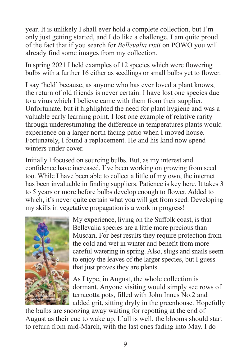year. It is unlikely I shall ever hold a complete collection, but I'm only just getting started, and I do like a challenge. I am quite proud of the fact that if you search for Bellevalia rixii on POWO you will already find some images from my collection.

In spring 2021 I held examples of 12 species which were flowering bulbs with a further 16 either as seedlings or small bulbs yet to flower.

I say 'held' because, as anyone who has ever loved a plant knows, the return of old friends is never certain. I have lost one species due to a virus which I believe came with them from their supplier. Unfortunate, but it highlighted the need for plant hygiene and was a valuable early learning point. I lost one example of relative rarity through underestimating the difference in temperatures plants would experience on a larger north facing patio when I moved house. Fortunately, I found a replacement. He and his kind now spend winters under cover.

Initially I focused on sourcing bulbs. But, as my interest and confidence have increased, I've been working on growing from seed too. While I have been able to collect a little of my own, the internet has been invaluable in finding suppliers. Patience is key here. It takes 3 to 5 years or more before bulbs develop enough to flower. Added to which, it's never quite certain what you will get from seed. Developing my skills in vegetative propagation is a work in progress!



My experience, living on the Suffolk coast, is that Bellevalia species are a little more precious than Muscari. For best results they require protection from the cold and wet in winter and benefit from more careful watering in spring. Also, slugs and snails seem to enjoy the leaves of the larger species, but I guess that just proves they are plants.

As I type, in August, the whole collection is dormant. Anyone visiting would simply see rows of terracotta pots, filled with John Innes No.2 and added grit, sitting dryly in the greenhouse. Hopefully

the bulbs are snoozing away waiting for repotting at the end of August as their cue to wake up. If all is well, the blooms should start to return from mid-March, with the last ones fading into May. I do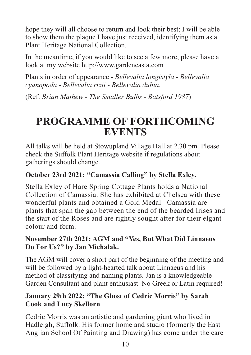hope they will all choose to return and look their best; I will be able to show them the plaque I have just received, identifying them as a Plant Heritage National Collection.

In the meantime, if you would like to see a few more, please have a look at my website http://www.gardeneasta.com

Plants in order of appearance - *Bellevalia longistyla - Bellevalia cyanopoda - Bellevalia rixii - Bellevalia dubia.*

(Ref: Brian Mathew - The Smaller Bulbs - Batsford 1987)

## **PROGRAMME OF FORTHCOMING EVENTS**

All talks will be held at Stowupland Village Hall at 2.30 pm. Please check the Suffolk Plant Heritage website if regulations about gatherings should change.

#### **October 23rd 2021: "Camassia Calling" by Stella Exley.**

Stella Exley of Hare Spring Cottage Plants holds a National Collection of Camassia. She has exhibited at Chelsea with these wonderful plants and obtained a Gold Medal. Camassia are plants that span the gap between the end of the bearded Irises and the start of the Roses and are rightly sought after for their elgant colour and form.

#### **November 27th 2021: AGM and "Yes, But What Did Linnaeus Do For Us?" by Jan Michalak.**

The AGM will cover a short part of the beginning of the meeting and will be followed by a light-hearted talk about Linnaeus and his method of classifying and naming plants. Jan is a knowledgeable Garden Consultant and plant enthusiast. No Greek or Latin required!

#### **January 29th 2022: "The Ghost of Cedric Morris" by Sarah Cook and Lucy Skellorn**

Cedric Morris was an artistic and gardening giant who lived in Hadleigh, Suffolk. His former home and studio (formerly the East Anglian School Of Painting and Drawing) has come under the care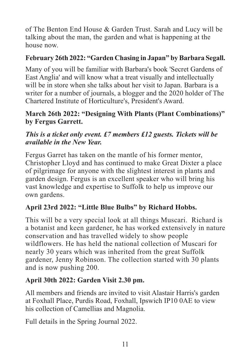of The Benton End House & Garden Trust. Sarah and Lucy will be talking about the man, the garden and what is happening at the house now.

## **February 26th 2022: "Garden Chasing in Japan" by Barbara Segall.**

Many of you will be familiar with Barbara's book 'Secret Gardens of East Anglia' and will know what a treat visually and intellectually will be in store when she talks about her visit to Japan. Barbara is a writer for a number of journals, a blogger and the 2020 holder of The Chartered Institute of Horticulture's, President's Award.

#### **March 26th 2022: "Designing With Plants (Plant Combinations)" by Fergus Garrett.**

## *This is a ticket only event. £7 members £12 guests. Tickets will be available in the New Year.*

Fergus Garret has taken on the mantle of his former mentor, Christopher Lloyd and has continued to make Great Dixter a place of pilgrimage for anyone with the slightest interest in plants and garden design. Fergus is an excellent speaker who will bring his vast knowledge and expertise to Suffolk to help us improve our own gardens.

## **April 23rd 2022: "Little Blue Bulbs" by Richard Hobbs.**

This will be a very special look at all things Muscari. Richard is a botanist and keen gardener, he has worked extensively in nature conservation and has travelled widely to show people wildflowers. He has held the national collection of Muscari for nearly 30 years which was inherited from the great Suffolk gardener, Jenny Robinson. The collection started with 30 plants and is now pushing 200.

## **April 30th 2022: Garden Visit 2.30 pm.**

All members and friends are invited to visit Alastair Harris's garden at Foxhall Place, Purdis Road, Foxhall, Ipswich IP10 0AE to view his collection of Camellias and Magnolia.

Full details in the Spring Journal 2022.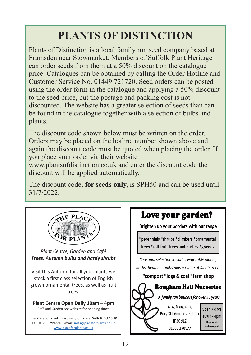## **PLANTS OF DISTINCTION**

Plants of Distinction is a local family run seed company based at Framsden near Stowmarket. Members of Suffolk Plant Heritage can order seeds from them at a 50% discount on the catalogue price. Catalogues can be obtained by calling the Order Hotline and Customer Service No. 01449 721720. Seed orders can be posted using the order form in the catalogue and applying a 50% discount to the seed price, but the postage and packing cost is not discounted. The website has a greater selection of seeds than can be found in the catalogue together with a selection of bulbs and plants.

The discount code shown below must be written on the order. Orders may be placed on the hotline number shown above and again the discount code must be quoted when placing the order. If you place your order via their website

www.plantsofdistinction.co.uk and enter the discount code the discount will be applied automatically.

The discount code, for seeds only, is SPH50 and can be used until 31/7/2022.



*Plant Centre, Garden and Café Trees, Autumn bulbs and hardy shrubs* 

Visit this Autumn for all your plants we stock a first class selection of English grown ornamental trees, as well as fruit trees.

**Plant Centre Open Daily 10am – 4pm**  Café and Garden see website for opening times

The Place for Plants, East Bergholt Place, Suffolk CO7 6UP Tel: 01206 299224 E-mail: sales@placeforplants.co.uk www.placeforplants.co.uk

## Love your garden?

Brighten up your borders with our range

\*perennials \*shrubs \*climbers \*ornamental trees \*soft fruit trees and bushes \*grasses

Seasonal selection includes vegetable plants, herbs, bedding, bulbs plus a range of King's Seed.

#### \*compost \*logs & coal \*farm shop

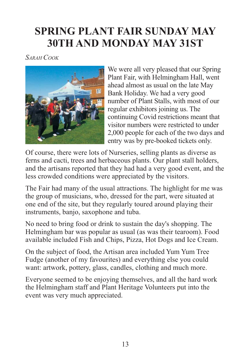## **SPRING PLANT FAIR SUNDAY MAY 30TH AND MONDAY MAY 31ST**

**SARAH COOK** 



We were all very pleased that our Spring Plant Fair, with Helmingham Hall, went ahead almost as usual on the late May Bank Holiday. We had a very good number of Plant Stalls, with most of our regular exhibitors joining us. The continuing Covid restrictions meant that visitor numbers were restricted to under 2,000 people for each of the two days and entry was by pre-booked tickets only.

Of course, there were lots of Nurseries, selling plants as diverse as ferns and cacti, trees and herbaceous plants. Our plant stall holders, and the artisans reported that they had had a very good event, and the less crowded conditions were appreciated by the visitors.

The Fair had many of the usual attractions. The highlight for me was the group of musicians, who, dressed for the part, were situated at one end of the site, but they regularly toured around playing their instruments, banjo, saxophone and tuba.

No need to bring food or drink to sustain the day's shopping. The Helmingham bar was popular as usual (as was their tearoom). Food available included Fish and Chips, Pizza, Hot Dogs and Ice Cream.

On the subject of food, the Artisan area included Yum Yum Tree Fudge (another of my favourites) and everything else you could want: artwork, pottery, glass, candles, clothing and much more.

Everyone seemed to be enjoying themselves, and all the hard work the Helmingham staff and Plant Heritage Volunteers put into the event was very much appreciated.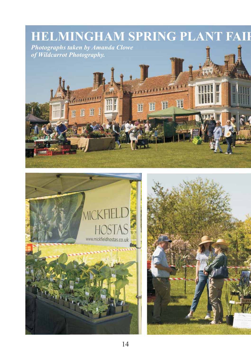## **HELMINGHAM SPRING PLANT FAIR**

THE MAIL

**THE** 

冊 冊

珊

*Photographs taken by Amanda Clowe of Wildcarrot Photography.*

Announce

T Ħ H

TTE



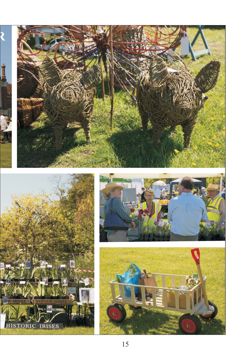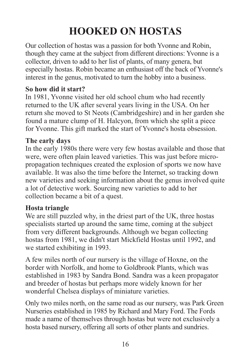## **HOOKED ON HOSTAS**

Our collection of hostas was a passion for both Yvonne and Robin, though they came at the subject from different directions: Yvonne is a collector, driven to add to her list of plants, of many genera, but especially hostas. Robin became an enthusiast off the back of Yvonne's interest in the genus, motivated to turn the hobby into a business.

## **So how did it start?**

In 1981, Yvonne visited her old school chum who had recently returned to the UK after several years living in the USA. On her return she moved to St Neots (Cambridgeshire) and in her garden she found a mature clump of H. Halcyon, from which she split a piece for Yvonne. This gift marked the start of Yvonne's hosta obsession.

#### **The early days**

In the early 1980s there were very few hostas available and those that were, were often plain leaved varieties. This was just before micropropagation techniques created the explosion of sports we now have available. It was also the time before the Internet, so tracking down new varieties and seeking information about the genus involved quite a lot of detective work. Sourcing new varieties to add to her collection became a bit of a quest.

## **Hosta triangle**

We are still puzzled why, in the driest part of the UK, three hostas specialists started up around the same time, coming at the subject from very different backgrounds. Although we began collecting hostas from 1981, we didn't start Mickfield Hostas until 1992, and we started exhibiting in 1993.

A few miles north of our nursery is the village of Hoxne, on the border with Norfolk, and home to Goldbrook Plants, which was established in 1983 by Sandra Bond. Sandra was a keen propagator and breeder of hostas but perhaps more widely known for her wonderful Chelsea displays of miniature varieties.

Only two miles north, on the same road as our nursery, was Park Green Nurseries established in 1985 by Richard and Mary Ford. The Fords made a name of themselves through hostas but were not exclusively a hosta based nursery, offering all sorts of other plants and sundries.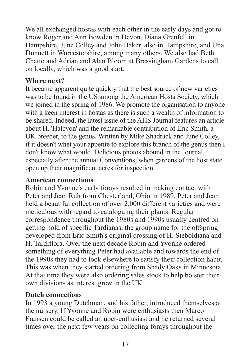We all exchanged hostas with each other in the early days and got to know Roger and Ann Bowden in Devon, Diana Grenfell in Hampshire, June Colley and John Baker, also in Hampshire, and Una Dunnett in Worcestershire, among many others. We also had Beth Chatto and Adrian and Alan Bloom at Bressingham Gardens to call on locally, which was a good start.

## **Where next?**

It became apparent quite quickly that the best source of new varieties was to be found in the US among the American Hosta Society, which we joined in the spring of 1986. We promote the organisation to anyone with a keen interest in hostas as there is such a wealth of information to be shared. Indeed, the latest issue of the AHS Journal features an article about H. 'Halcyon' and the remarkable contribution of Eric Smith, a UK breeder, to the genus. Written by Mike Shadrack and June Colley, if it doesn't whet your appetite to explore this branch of the genus then I don't know what would. Delicious photos abound in the Journal, especially after the annual Conventions, when gardens of the host state open up their magnificent acres for inspection.

#### **American connections**

Robin and Yvonne's early forays resulted in making contact with Peter and Jean Ruh from Chesterland, Ohio in 1989. Peter and Jean held a beautiful collection of over 2,000 different varieties and were meticulous with regard to cataloguing their plants. Regular correspondence throughout the 1980s and 1990s usually centred on getting hold of specific Tardianas, the group name for the offspring developed from Eric Smith's original crossing of H. Sieboldiana and H. Tardiflora. Over the next decade Robin and Yvonne ordered something of everything Peter had available and towards the end of the 1990s they had to look elsewhere to satisfy their collection habit. This was when they started ordering from Shady Oaks in Minnesota. At that time they were also ordering sales stock to help bolster their own divisions as interest grew in the UK.

#### **Dutch connections**

In 1993 a young Dutchman, and his father, introduced themselves at the nursery. If Yvonne and Robin were enthusiasts then Marco Fransen could be called an uber-enthusiast and he returned several times over the next few years on collecting forays throughout the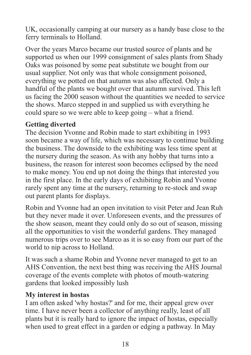UK, occasionally camping at our nursery as a handy base close to the ferry terminals to Holland.

Over the years Marco became our trusted source of plants and he supported us when our 1999 consignment of sales plants from Shady Oaks was poisoned by some peat substitute we bought from our usual supplier. Not only was that whole consignment poisoned, everything we potted on that autumn was also affected. Only a handful of the plants we bought over that autumn survived. This left us facing the 2000 season without the quantities we needed to service the shows. Marco stepped in and supplied us with everything he could spare so we were able to keep going – what a friend.

## **Getting diverted**

The decision Yvonne and Robin made to start exhibiting in 1993 soon became a way of life, which was necessary to continue building the business. The downside to the exhibiting was less time spent at the nursery during the season. As with any hobby that turns into a business, the reason for interest soon becomes eclipsed by the need to make money. You end up not doing the things that interested you in the first place. In the early days of exhibiting Robin and Yvonne rarely spent any time at the nursery, returning to re-stock and swap out parent plants for displays.

Robin and Yvonne had an open invitation to visit Peter and Jean Ruh but they never made it over. Unforeseen events, and the pressures of the show season, meant they could only do so out of season, missing all the opportunities to visit the wonderful gardens. They managed numerous trips over to see Marco as it is so easy from our part of the world to nip across to Holland.

It was such a shame Robin and Yvonne never managed to get to an AHS Convention, the next best thing was receiving the AHS Journal coverage of the events complete with photos of mouth-watering gardens that looked impossibly lush

#### **My interest in hostas**

I am often asked 'why hostas?' and for me, their appeal grew over time. I have never been a collector of anything really, least of all plants but it is really hard to ignore the impact of hostas, especially when used to great effect in a garden or edging a pathway. In May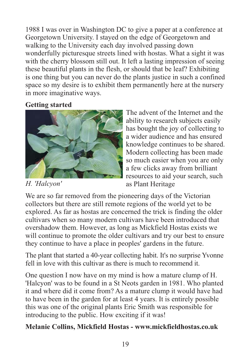1988 I was over in Washington DC to give a paper at a conference at Georgetown University. I stayed on the edge of Georgetown and walking to the University each day involved passing down wonderfully picturesque streets lined with hostas. What a sight it was with the cherry blossom still out. It left a lasting impression of seeing these beautiful plants in the flesh, or should that be leaf? Exhibiting is one thing but you can never do the plants justice in such a confined space so my desire is to exhibit them permanently here at the nursery in more imaginative ways.

#### **Getting started**



*H. 'Halcyon'*

The advent of the Internet and the ability to research subjects easily has bought the joy of collecting to a wider audience and has ensured knowledge continues to be shared. Modern collecting has been made so much easier when you are only a few clicks away from brilliant resources to aid your search, such as Plant Heritage

We are so far removed from the pioneering days of the Victorian collectors but there are still remote regions of the world yet to be explored. As far as hostas are concerned the trick is finding the older cultivars when so many modern cultivars have been introduced that overshadow them. However, as long as Mickfield Hostas exists we will continue to promote the older cultivars and try our best to ensure they continue to have a place in peoples' gardens in the future.

The plant that started a 40-year collecting habit. It's no surprise Yvonne fell in love with this cultivar as there is much to recommend it.

One question I now have on my mind is how a mature clump of H. 'Halcyon' was to be found in a St Neots garden in 1981. Who planted it and where did it come from? As a mature clump it would have had to have been in the garden for at least 4 years. It is entirely possible this was one of the original plants Eric Smith was responsible for introducing to the public. How exciting if it was!

#### **Melanie Collins, Mickfield Hostas - www.mickfieldhostas.co.uk**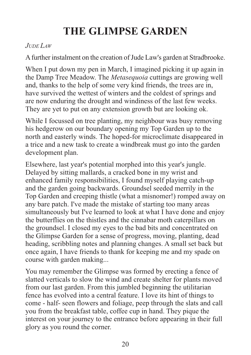## **THE GLIMPSE GARDEN**

## *J L UDE AW*

Afurther instalment on the creation of Jude Law's garden at Stradbrooke.

the Damp Tree Meadow. The *Metasequoia* cuttings are growing well When I put down my pen in March, I imagined picking it up again in and, thanks to the help of some very kind friends, the trees are in, have survived the wettest of winters and the coldest of springs and are now enduring the drought and windiness of the last few weeks. They are yet to put on any extension growth but are looking ok.

While I focussed on tree planting, my neighbour was busy removing his hedgerow on our boundary opening my Top Garden up to the north and easterly winds. The hoped-for microclimate disappeared in a trice and a new task to create a windbreak must go into the garden development plan.

Elsewhere, last year's potential morphed into this year's jungle. Delayed by sitting mallards, a cracked bone in my wrist and enhanced family responsibilities, I found myself playing catch-up and the garden going backwards. Groundsel seeded merrily in the Top Garden and creeping thistle (what a misnomer!) romped away on any bare patch. I've made the mistake of starting too many areas simultaneously but I've learned to look at what I have done and enjoy the butterflies on the thistles and the cinnabar moth caterpillars on the groundsel. I closed my eyes to the bad bits and concentrated on the Glimpse Garden for a sense of progress, moving, planting, dead heading, scribbling notes and planning changes. A small set back but once again, I have friends to thank for keeping me and my spade on course with garden making...

You may remember the Glimpse was formed by erecting a fence of slatted verticals to slow the wind and create shelter for plants moved from our last garden. From this jumbled beginning the utilitarian fence has evolved into a central feature. I love its hint of things to come - half- seen flowers and foliage, peep through the slats and call you from the breakfast table, coffee cup in hand. They pique the interest on your journey to the entrance before appearing in their full glory as you round the corner.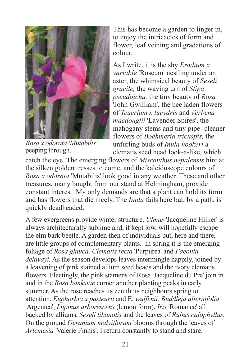

*Rosa x odorata 'Mutabilis'* peeping through.

This has become a garden to linger in, to enjoy the intricacies of form and flower, leaf veining and gradations of colour.

As I write, it is the shy *Erodium x* variable 'Roseum' nestling under an aster, the whimsical beauty of *Seseli* gracile, the waving urn of Stipa the tiny beauty of *pseudoichu, Rosa* 'John Gwilliam', the bee laden flowers of Teucrium x lucydris and Verbena macdouglii 'Lavender Spires', the mahogany stems and tiny pipe- cleaner flowers of Boehmeria tricuspis, the unfurling buds of Inula hookeri a clematis seed head look-a-like, which

catch the eye. The emerging flowers of *Miscanthus nepalensis* hint at the silken golden tresses to come, and the kaleidoscope colours of Rosa x odorata 'Mutabilis' look good in any weather. These and other treasures, many bought from our stand at Helmingham, provide constant interest. My only demands are that a plant can hold its form and has flowers that die nicely. The *Inula* fails here but, by a path, is quickly deadheaded.

A few evergreens provide winter structure. Ulmus 'Jacqueline Hillier' is always architecturally sublime and, if kept low, will hopefully escape the elm bark beetle. A garden then of individuals but, here and there, are little groups of complementary plants. In spring it is the emerging foliage of Rosa glauca, Clematis recta 'Purpurea' and Paeonia delavayi. As the season develops leaves intermingle happily, joined by a leavening of pink stained allium seed heads and the ivory clematis flowers. Fleetingly, the pink stamens of Rosa 'Jacqueline du Pre' join in and in the Rosa banksiae corner another planting peaks in early summer. As the rose reaches its zenith its neighbours spring to attention. *Euphorbia x pasteurii* and E. wulfenii, Buddleja alternifolia 'Argentea', *Lupinus arborescens* (lemon form), *Iris* 'Romance' all backed by alliums, Seseli libanotis and the leaves of Rubus calophyllus. On the ground Geranium malviflorum blooms through the leaves of Artemesia 'Valerie Finnis'. I return constantly to stand and stare.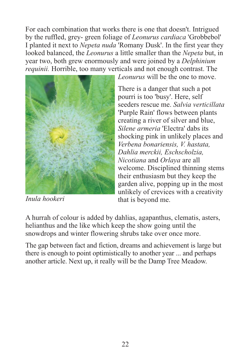For each combination that works there is one that doesn't. Intrigued by the ruffled, grey- green foliage of Leonurus cardiaca 'Grobbebol' I planted it next to *Nepeta nuda* 'Romany Dusk'. In the first year they looked balanced, the *Leonurus* a little smaller than the *Nepeta* but, in year two, both grew enormously and were joined by a *Delphinium* requinii. Horrible, too many verticals and not enough contrast. The



*Inula hookeri*

Leonurus will be the one to move.

There is a danger that such a pot pourri is too 'busy'. Here, self seeders rescue me. *Salvia verticillata* 'Purple Rain' flows between plants creating a river of silver and blue, Silene armeria 'Electra' dabs its shocking pink in unlikely places and *Nicotiana* and *Orlaya* are all welcome. Disciplined thinning stems their enthusiasm but they keep the garden alive, popping up in the most unlikely of crevices with a creativity that is beyond me. *Verbena bonariensis, V. hastata, Dahlia merckii, Eschscholzia,*

A hurrah of colour is added by dahlias, agapanthus, clematis, asters, helianthus and the like which keep the show going until the snowdrops and winter flowering shrubs take over once more.

The gap between fact and fiction, dreams and achievement is large but there is enough to point optimistically to another year ... and perhaps another article. Next up, it really will be the Damp Tree Meadow.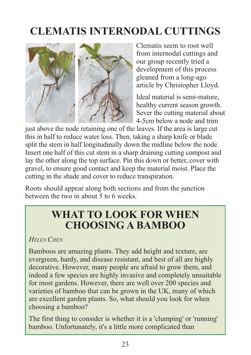## **CLEMATIS INTERNODAL CUTTINGS**



Clematis seem to root well from internodal cuttings and our group recently tried a development of this process gleaned from a long-ago article by Christopher Lloyd.

Ideal material is semi-mature, healthy current season growth. Sever the cutting material about 4-5cm below a node and trim

just above the node retaining one of the leaves. If the area is large cut this in half to reduce water loss. Then, taking a sharp knife or blade split the stem in half longitudinally down the midline below the node. Insert one half of this cut stem in a sharp draining cutting compost and lay the other along the top surface. Pin this down or better, cover with gravel, to ensure good contact and keep the material moist. Place the cutting in the shade and cover to reduce transpiration.

Roots should appear along both sections and from the junction between the two in about 5 to 6 weeks.

## **WHAT TO LOOK FOR WHEN CHOOSING A BAMBOO**

## $HELEN$ <sub>*CHEN*</sub>

Bamboos are amazing plants. They add height and texture, are evergreen, hardy, and disease resistant, and best of all are highly decorative. However, many people are afraid to grow them, and indeed a few species are highly invasive and completely unsuitable for most gardens. However, there are well over 200 species and varieties of bamboo that can be grown in the UK, many of which are excellent garden plants. So, what should you look for when choosing a bamboo?

The first thing to consider is whether it is a 'clumping' or 'running' bamboo. Unfortunately, it's a little more complicated than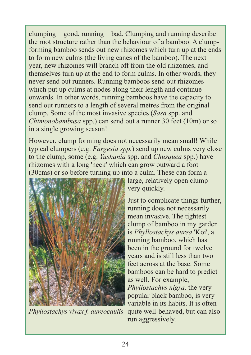$clumping = good, running = bad. Clumping and running describe$ the root structure rather than the behaviour of a bamboo. A clumpforming bamboo sends out new rhizomes which turn up at the ends to form new culms (the living canes of the bamboo). The next year, new rhizomes will branch off from the old rhizomes, and themselves turn up at the end to form culms. In other words, they never send out runners. Running bamboos send out rhizomes which put up culms at nodes along their length and continue onwards. In other words, running bamboos have the capacity to send out runners to a length of several metres from the original clump. Some of the most invasive species (Sasa spp. and Chimonobambusa spp.) can send out a runner 30 feet (10m) or so in a single growing season!

However, clump forming does not necessarily mean small! While typical clumpers (e.g. *Fargesia spp.*) send up new culms very close to the clump, some (e.g. *Yushania* spp. and *Chusquea* spp.) have rhizomes with a long 'neck' which can grow outward a foot (30cms) or so before turning up into a culm. These can form a



Phyllostachys vivax f. aureocaulis quite well-behaved, but can also

large, relatively open clump very quickly.

Just to complicate things further, running does not necessarily mean invasive. The tightest clump of bamboo in my garden is *Phyllostachys aurea* 'Koi', a running bamboo, which has been in the ground for twelve years and is still less than two feet across at the base. Some bamboos can be hard to predict as well. For example, Phyllostachys nigra, the very popular black bamboo, is very variable in its habits. It is often run aggressively.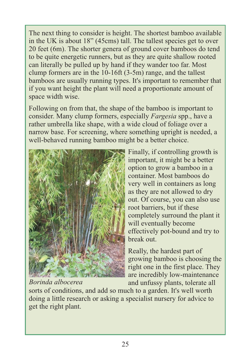The next thing to consider is height. The shortest bamboo available in the UK is about 18" (45cms) tall. The tallest species get to over 20 feet (6m). The shorter genera of ground cover bamboos do tend to be quite energetic runners, but as they are quite shallow rooted can literally be pulled up by hand if they wander too far. Most clump formers are in the 10-16ft (3-5m) range, and the tallest bamboos are usually running types. It's important to remember that if you want height the plant will need a proportionate amount of space width wise.

Following on from that, the shape of the bamboo is important to consider. Many clump formers, especially Fargesia spp., have a rather umbrella like shape, with a wide cloud of foliage over a narrow base. For screening, where something upright is needed, a well-behaved running bamboo might be a better choice.



Finally, if controlling growth is important, it might be a better option to grow a bamboo in a container. Most bamboos do very well in containers as long as they are not allowed to dry out. Of course, you can also use root barriers, but if these completely surround the plant it will eventually become effectively pot-bound and try to break out.

Really, the hardest part of growing bamboo is choosing the right one in the first place. They are incredibly low-maintenance and unfussy plants, tolerate all

*Borinda albocerea*

sorts of conditions, and add so much to a garden. It's well worth doing a little research or asking a specialist nursery for advice to get the right plant.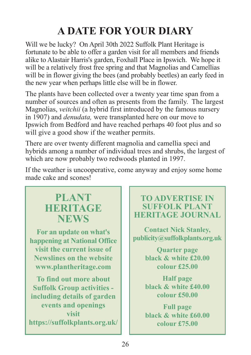## **A DATE FOR YOUR DIARY**

Will we be lucky? On April 30th 2022 Suffolk Plant Heritage is fortunate to be able to offer a garden visit for all members and friends alike to Alastair Harris's garden, Foxhall Place in Ipswich. We hope it will be a relatively frost free spring and that Magnolias and Camellias will be in flower giving the bees (and probably beetles) an early feed in the new year when perhaps little else will be in flower.

The plants have been collected over a twenty year time span from a number of sources and often as presents from the family. The largest Magnolias, veitchii (a hybrid first introduced by the famous nursery in 1907) and *denudata*, were transplanted here on our move to Ipswich from Bedford and have reached perhaps 40 foot plus and so will give a good show if the weather permits.

There are over twenty different magnolia and camellia speci and hybrids among a number of individual trees and shrubs, the largest of which are now probably two redwoods planted in 1997.

If the weather is uncooperative, come anyway and enjoy some home made cake and scones!

## **PLANT HERITAGE NEWS**

**For an update on what's happening at National Office visit the current issue of Newslines on the website www.plantheritage.com**

**To find out more about Suffolk Group activities including details of garden events and openings visit https://suffolkplants.org.uk/**

## **TO ADVERTISE IN SUFFOLK PLANT HERITAGE JOURNAL**

**Contact Nick Stanley, publicity@suffolkplants.org.uk**

> **Quarter page black & white £20.00 colour £25.00**

> **Half page black & white £40.00 colour £50.00**

> **Full page black & white £60.00 colour £75.00**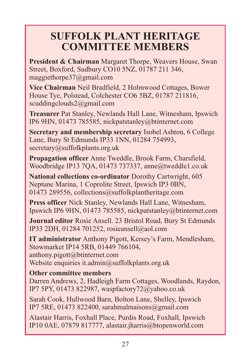## **SUFFOLK PLANT HERITAGE COMMITTEE MEMBERS**

**President & Chairman** Margaret Thorpe, Weavers House, Swan Street, Boxford, Sudbury CO10 5NZ, 01787 211 346, maggiethorpe37@gmail.com

**Vice Chairman** Neil Bradfield, 2 Holmwood Cottages, Bower House Tye, Polstead, Colchester CO6 5BZ, 01787 211816, scuddingclouds2@gmail.com

**Treasurer** Pat Stanley, Newlands Hall Lane, Witnesham, Ipswich IP6 9HN, 01473 785585, nickpatstanley@btinternet.com

**Secretary and membership secretary** Isobel Ashton, 6 College Lane, Bury St Edmunds IP33 1NN, 01284 754993, secretary@suffolkplants.org.uk

**Propagation officer** Anne Tweddle, Brook Farm, Charsfield, Woodbridge IP13 7QA, 01473 737337, anne@tweddle1.co.uk

**National collections co-ordinator** Dorothy Cartwright, 605 Neptune Marina, 1 Coprolite Street, Ipswich IP3 0BN, 01473 289556, collections@suffolkplantheritage.com

**Press officer** Nick Stanley, Newlands Hall Lane, Witnesham, Ipswich IP6 9HN, 01473 785585, nickpatstanley@btinternet.com

**Journal editor** Rosie Ansell. 23 Bristol Road, Bury St Edmunds IP33 2DH, 01284 701252, rosieansell@aol.com

**IT administrator** Anthony Pigott, Kersey's Farm, Mendlesham, Stowmarket IP14 5RB, 01449 766104, anthony.pigott@btinternet.com Website enquiries it.admin@suffolkplants.org.uk

## **Other committee members**

Darren Andrews, 2, Hadleigh Farm Cottages, Woodlands, Raydon, IP7 5PY, 01473 822987, waspfactory72@yahoo.co.uk

Sarah Cook, Hullwood Barn, Bolton Lane, Shelley, Ipswich IP7 5RE, 01473 822400, sarahmalmaisons@gmail.com

Alastair Harris, Foxhall Place, Purdis Road, Foxhall, Ipswich IP10 0AE, 07879 817777, alastair.jharris@btopenworld.com